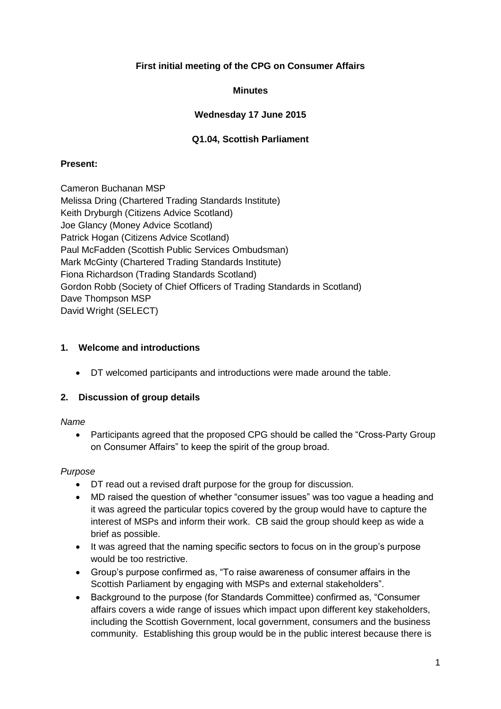# **First initial meeting of the CPG on Consumer Affairs**

# **Minutes**

# **Wednesday 17 June 2015**

# **Q1.04, Scottish Parliament**

#### **Present:**

Cameron Buchanan MSP Melissa Dring (Chartered Trading Standards Institute) Keith Dryburgh (Citizens Advice Scotland) Joe Glancy (Money Advice Scotland) Patrick Hogan (Citizens Advice Scotland) Paul McFadden (Scottish Public Services Ombudsman) Mark McGinty (Chartered Trading Standards Institute) Fiona Richardson (Trading Standards Scotland) Gordon Robb (Society of Chief Officers of Trading Standards in Scotland) Dave Thompson MSP David Wright (SELECT)

#### **1. Welcome and introductions**

DT welcomed participants and introductions were made around the table.

# **2. Discussion of group details**

#### *Name*

• Participants agreed that the proposed CPG should be called the "Cross-Party Group" on Consumer Affairs" to keep the spirit of the group broad.

#### *Purpose*

- DT read out a revised draft purpose for the group for discussion.
- MD raised the question of whether "consumer issues" was too vague a heading and it was agreed the particular topics covered by the group would have to capture the interest of MSPs and inform their work. CB said the group should keep as wide a brief as possible.
- It was agreed that the naming specific sectors to focus on in the group's purpose would be too restrictive.
- Group's purpose confirmed as, "To raise awareness of consumer affairs in the Scottish Parliament by engaging with MSPs and external stakeholders".
- Background to the purpose (for Standards Committee) confirmed as, "Consumer affairs covers a wide range of issues which impact upon different key stakeholders, including the Scottish Government, local government, consumers and the business community. Establishing this group would be in the public interest because there is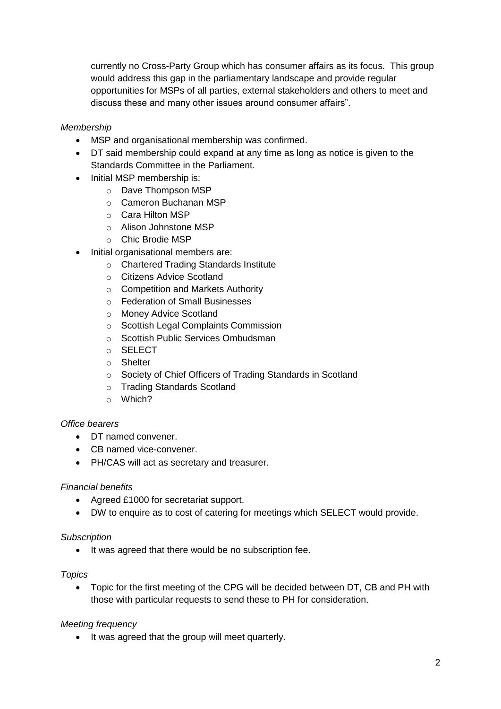currently no Cross-Party Group which has consumer affairs as its focus. This group would address this gap in the parliamentary landscape and provide regular opportunities for MSPs of all parties, external stakeholders and others to meet and discuss these and many other issues around consumer affairs".

# *Membership*

- MSP and organisational membership was confirmed.
- DT said membership could expand at any time as long as notice is given to the Standards Committee in the Parliament.
- Initial MSP membership is:
	- o Dave Thompson MSP
	- o Cameron Buchanan MSP
	- o Cara Hilton MSP
	- o Alison Johnstone MSP
	- o Chic Brodie MSP
- Initial organisational members are:
	- o Chartered Trading Standards Institute
	- o Citizens Advice Scotland
	- o Competition and Markets Authority
	- o Federation of Small Businesses
	- o Money Advice Scotland
	- o Scottish Legal Complaints Commission
	- o Scottish Public Services Ombudsman
	- o SELECT
	- o Shelter
	- o Society of Chief Officers of Trading Standards in Scotland
	- o Trading Standards Scotland
	- o Which?

#### *Office bearers*

- DT named convener.
- CB named vice-convener.
- PH/CAS will act as secretary and treasurer.

#### *Financial benefits*

- Agreed £1000 for secretariat support.
- DW to enquire as to cost of catering for meetings which SELECT would provide.

#### *Subscription*

• It was agreed that there would be no subscription fee.

#### *Topics*

 Topic for the first meeting of the CPG will be decided between DT, CB and PH with those with particular requests to send these to PH for consideration.

# *Meeting frequency*

• It was agreed that the group will meet quarterly.